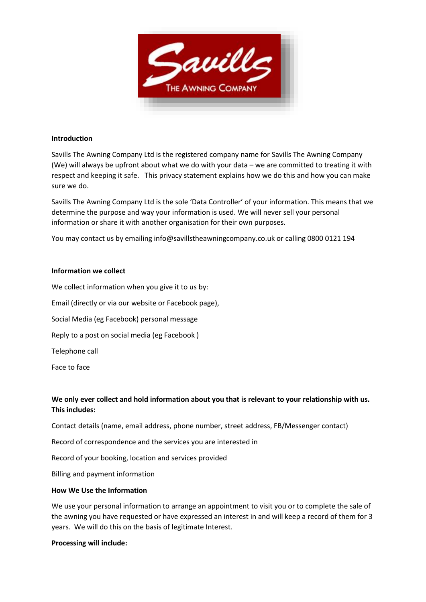

#### **Introduction**

Savills The Awning Company Ltd is the registered company name for Savills The Awning Company (We) will always be upfront about what we do with your data – we are committed to treating it with respect and keeping it safe. This privacy statement explains how we do this and how you can make sure we do.

Savills The Awning Company Ltd is the sole 'Data Controller' of your information. This means that we determine the purpose and way your information is used. We will never sell your personal information or share it with another organisation for their own purposes.

You may contact us by emailing info@savillstheawningcompany.co.uk or calling 0800 0121 194

#### **Information we collect**

We collect information when you give it to us by:

Email (directly or via our website or Facebook page),

Social Media (eg Facebook) personal message

Reply to a post on social media (eg Facebook )

Telephone call

Face to face

# **We only ever collect and hold information about you that is relevant to your relationship with us. This includes:**

Contact details (name, email address, phone number, street address, FB/Messenger contact)

Record of correspondence and the services you are interested in

Record of your booking, location and services provided

Billing and payment information

## **How We Use the Information**

We use your personal information to arrange an appointment to visit you or to complete the sale of the awning you have requested or have expressed an interest in and will keep a record of them for 3 years. We will do this on the basis of legitimate Interest.

#### **Processing will include:**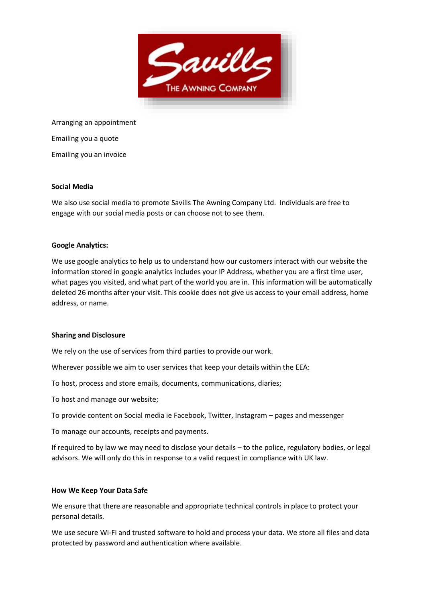

Arranging an appointment Emailing you a quote

Emailing you an invoice

## **Social Media**

We also use social media to promote Savills The Awning Company Ltd. Individuals are free to engage with our social media posts or can choose not to see them.

## **Google Analytics:**

We use google analytics to help us to understand how our customers interact with our website the information stored in google analytics includes your IP Address, whether you are a first time user, what pages you visited, and what part of the world you are in. This information will be automatically deleted 26 months after your visit. This cookie does not give us access to your email address, home address, or name.

## **Sharing and Disclosure**

We rely on the use of services from third parties to provide our work.

Wherever possible we aim to user services that keep your details within the EEA:

To host, process and store emails, documents, communications, diaries;

To host and manage our website;

To provide content on Social media ie Facebook, Twitter, Instagram – pages and messenger

To manage our accounts, receipts and payments.

If required to by law we may need to disclose your details – to the police, regulatory bodies, or legal advisors. We will only do this in response to a valid request in compliance with UK law.

## **How We Keep Your Data Safe**

We ensure that there are reasonable and appropriate technical controls in place to protect your personal details.

We use secure Wi-Fi and trusted software to hold and process your data. We store all files and data protected by password and authentication where available.